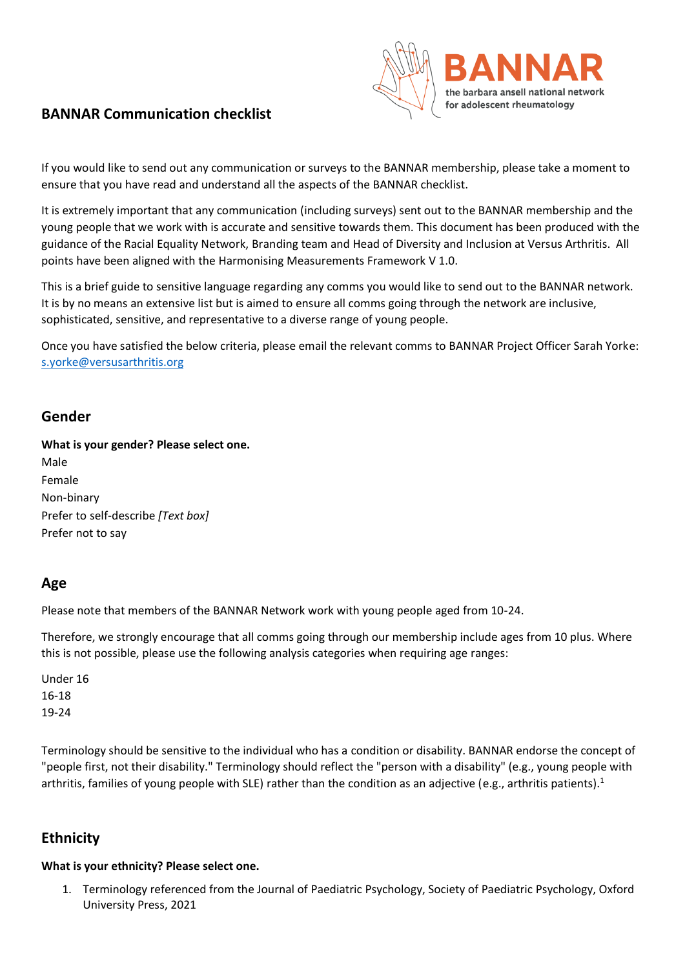## **BANNAR Communication checklist**



If you would like to send out any communication or surveys to the BANNAR membership, please take a moment to ensure that you have read and understand all the aspects of the BANNAR checklist.

It is extremely important that any communication (including surveys) sent out to the BANNAR membership and the young people that we work with is accurate and sensitive towards them. This document has been produced with the guidance of the Racial Equality Network, Branding team and Head of Diversity and Inclusion at Versus Arthritis. All points have been aligned with the Harmonising Measurements Framework V 1.0.

This is a brief guide to sensitive language regarding any comms you would like to send out to the BANNAR network. It is by no means an extensive list but is aimed to ensure all comms going through the network are inclusive, sophisticated, sensitive, and representative to a diverse range of young people.

Once you have satisfied the below criteria, please email the relevant comms to BANNAR Project Officer Sarah Yorke: [s.yorke@versusarthritis.org](mailto:s.yorke@versusarthritis.org)

### **Gender**

#### **What is your gender? Please select one.**

Male Female Non-binary Prefer to self-describe *[Text box]* Prefer not to say

### **Age**

Please note that members of the BANNAR Network work with young people aged from 10-24.

Therefore, we strongly encourage that all comms going through our membership include ages from 10 plus. Where this is not possible, please use the following analysis categories when requiring age ranges:

Under 16 16-18 19-24

Terminology should be sensitive to the individual who has a condition or disability. BANNAR endorse the concept of "people first, not their disability." Terminology should reflect the "person with a disability" (e.g., young people with arthritis, families of young people with SLE) rather than the condition as an adjective (e.g., arthritis patients).<sup>1</sup>

## **Ethnicity**

### **What is your ethnicity? Please select one.**

1. Terminology referenced from the Journal of Paediatric Psychology, Society of Paediatric Psychology, Oxford University Press, 2021